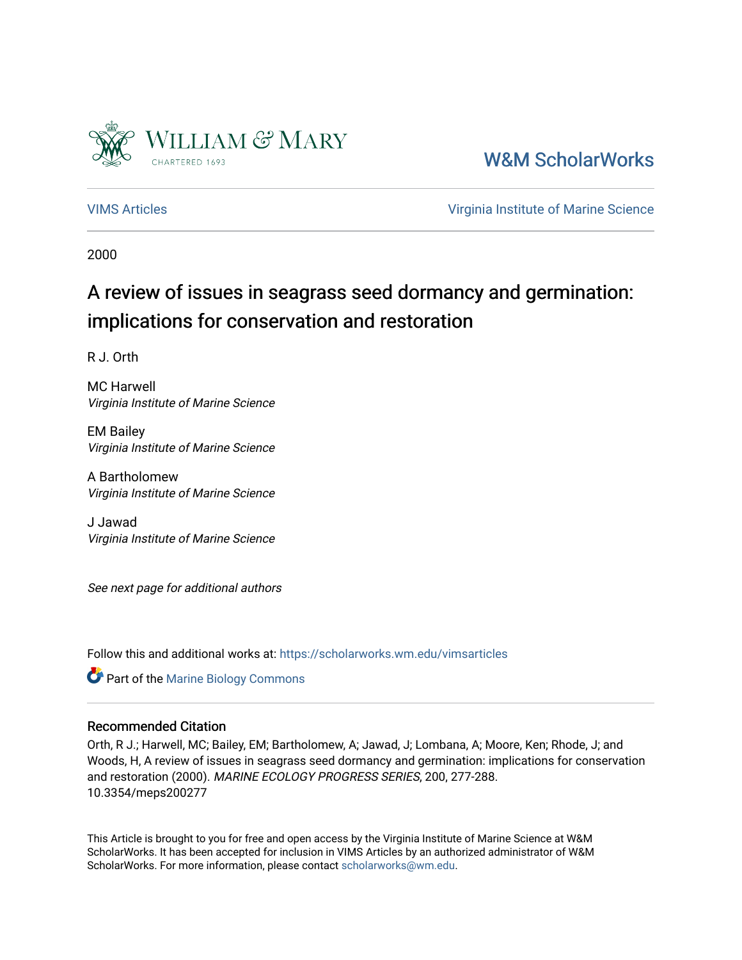

[W&M ScholarWorks](https://scholarworks.wm.edu/) 

[VIMS Articles](https://scholarworks.wm.edu/vimsarticles) [Virginia Institute of Marine Science](https://scholarworks.wm.edu/vims) 

2000

# A review of issues in seagrass seed dormancy and germination: implications for conservation and restoration

R J. Orth

MC Harwell Virginia Institute of Marine Science

EM Bailey Virginia Institute of Marine Science

A Bartholomew Virginia Institute of Marine Science

J Jawad Virginia Institute of Marine Science

See next page for additional authors

Follow this and additional works at: [https://scholarworks.wm.edu/vimsarticles](https://scholarworks.wm.edu/vimsarticles?utm_source=scholarworks.wm.edu%2Fvimsarticles%2F188&utm_medium=PDF&utm_campaign=PDFCoverPages)

Part of the [Marine Biology Commons](http://network.bepress.com/hgg/discipline/1126?utm_source=scholarworks.wm.edu%2Fvimsarticles%2F188&utm_medium=PDF&utm_campaign=PDFCoverPages) 

# Recommended Citation

Orth, R J.; Harwell, MC; Bailey, EM; Bartholomew, A; Jawad, J; Lombana, A; Moore, Ken; Rhode, J; and Woods, H, A review of issues in seagrass seed dormancy and germination: implications for conservation and restoration (2000). MARINE ECOLOGY PROGRESS SERIES, 200, 277-288. 10.3354/meps200277

This Article is brought to you for free and open access by the Virginia Institute of Marine Science at W&M ScholarWorks. It has been accepted for inclusion in VIMS Articles by an authorized administrator of W&M ScholarWorks. For more information, please contact [scholarworks@wm.edu.](mailto:scholarworks@wm.edu)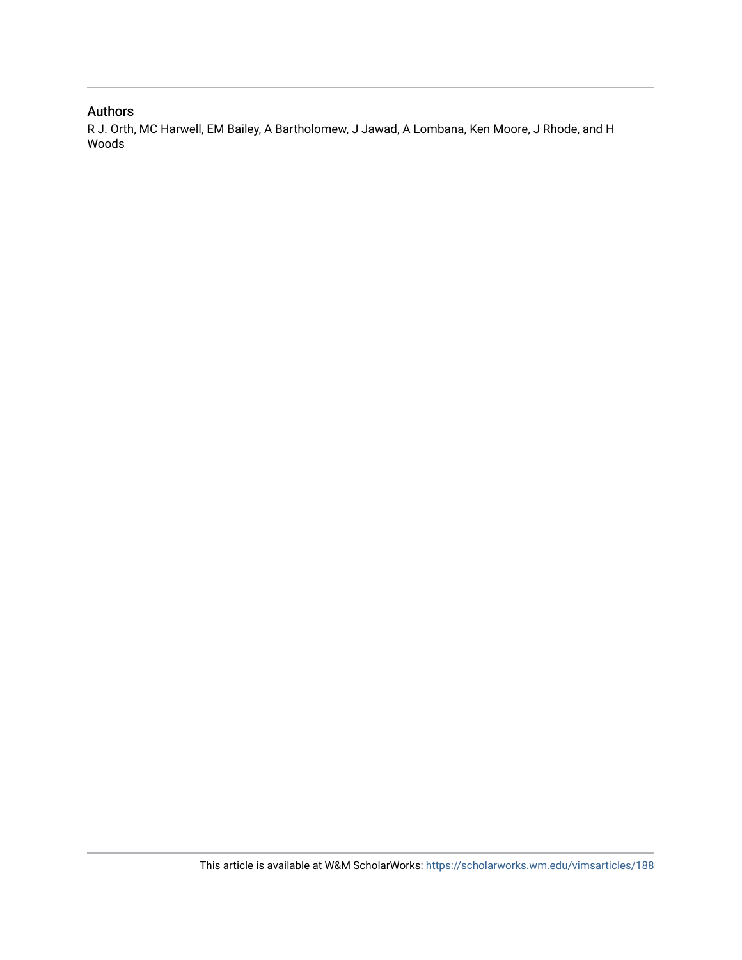# Authors

R J. Orth, MC Harwell, EM Bailey, A Bartholomew, J Jawad, A Lombana, Ken Moore, J Rhode, and H Woods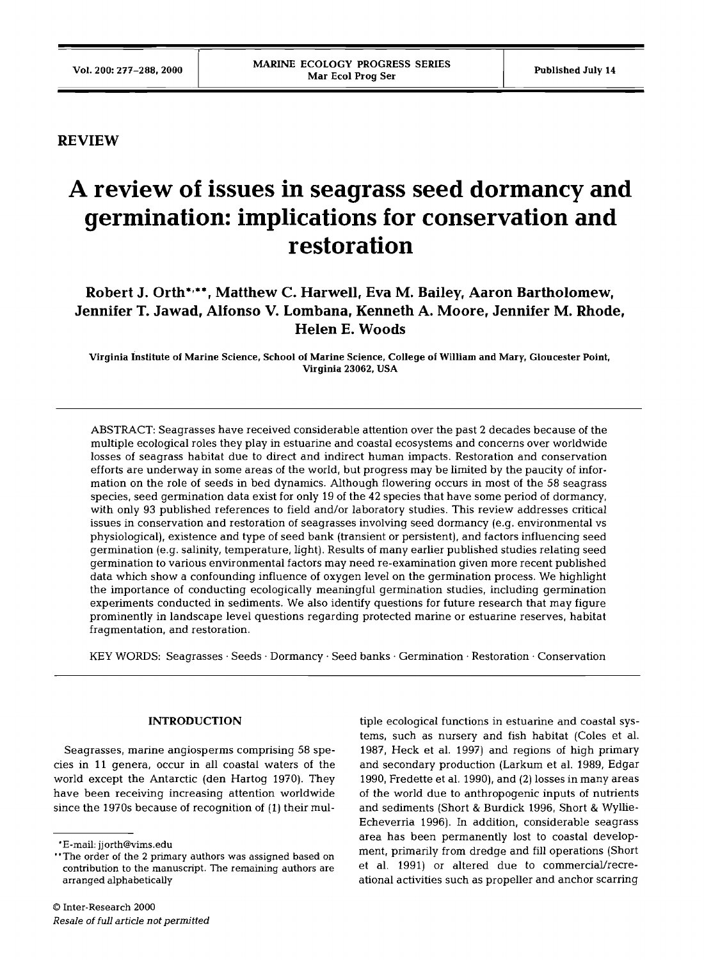# **REVIEW**

# **A review of issues in seagrass seed dormancy and germination: implications for conservation and restoration**

# **Robert J. Orth\*r\*\*, Matthew C. Harwell, Eva M. Bailey, Aaron Bartholomew, Jennifer T. Jawad, Alfonso V. Lombana, Kenneth A. Moore, Jennifer M. Rhode, Helen E. Woods**

**Virginia institute of Marine Science, School of Marine Science, College of William and Mary, Gloucester Point, Virginia 23062, USA** 

ABSTRACT: Seagrasses have received considerable attention over the past 2 decades because of the multiple ecological roles they play in estuarine and coastal ecosystems and concerns over worldwide losses of seagrass habitat due to direct and indirect human impacts. Restoration and conservation efforts are underway in some areas of the world, but progress may be limited by the paucity of information on the role of seeds in bed dynamics. Although flowering occurs in most of the 58 seagrass species, seed germination data exist for only 19 of the 42 species that have some period of dormancy, with only 93 published references to field and/or laboratory studies. This review addresses critical issues in conservation and restoration of seagrasses involving seed dormancy (e.g. environmental vs physiological), existence and type of seed bank (transient or persistent), and factors influencing seed germination (e.g. salinity, temperature, light). Results of many earlier published studies relating seed germination to various environmental factors may need re-examination given more recent published data which show a confounding influence of oxygen level on the germination process. We highlight the importance of conducting ecologically meaningful germination studies, including germination experiments conducted in sediments. We also identify questions for future research that may figure prominently in landscape level questions regarding protected marine or estuarine reserves, habitat fragmentation, and restoration.

KEY WORDS: Seagrasses · Seeds · Dormancy · Seed banks · Germination · Restoration · Conservation

## **INTRODUCTION**

Seagrasses, marine angiosperms comprising 58 species in 11 genera, occur in all coastal waters of the world except the Antarctic (den Hartog 1970). They have been receiving increasing attention worldwide since the 1970s because of recognition of (1) their mul-

tiple ecological functions in estuarine and coastal systems, such as nursery and fish habitat (Coles et al. 1987, Heck et al. 1997) and regions of high primary and secondary production (Larkum et al. 1989, Edgar 1990, Fredette et al. 1990), and (2) losses in many areas of the world due to anthropogenic inputs of nutrients and sediments (Short & Burdick 1996, Short & Wyllie-Echeverria 1996). In addition, considerable seagrass area has been permanently lost to coastal development, primarily from dredge and fill operations (Short et al. 1991) or altered due to commercial/recreational activities such as propeller and anchor scarring

<sup>&#</sup>x27;E-mail: jjorth@vims.edu

<sup>&</sup>quot;The order of the **2** primary authors was assigned based on contribution to the manuscript. The remaining authors are arranged alphabetically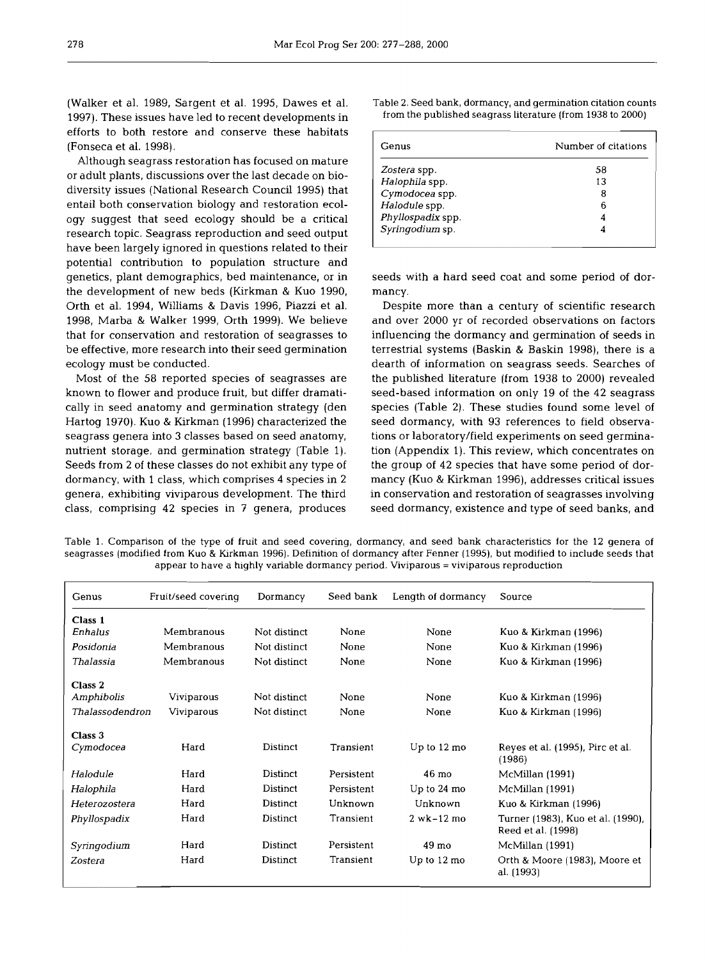(Walker et al. 1989, Sargent et al. 1995, Dawes et al. 1997). These issues have led to recent developments in efforts to both restore and conserve these habitats (Fonseca et al. 1998).

Although seagrass restoration has focused on mature or adult plants, discussions over the last decade on biodiversity issues (National Research Council 1995) that entail both conservation biology and restoration ecology suggest that seed ecology should be a critical research topic. Seagrass reproduction and seed output have been largely ignored in questions related to their potential contribution to population structure and genetics, plant demographics, bed maintenance, or in the development of new beds (Kirkman  $&$  Kuo 1990, Orth et al. 1994, Williams & Davis 1996, Piazzi et al. 1998, Marba & Walker 1999, Orth 1999). We believe that for conservation and restoration of seagrasses to be effective, more research into their seed germination ecology must be conducted.

Most of the 58 reported species of seagrasses are known to flower and produce fruit, but differ dramatically in seed anatomy and germination strategy (den Hartog 1970). Kuo & Kirkman (1996) characterized the seagrass genera into 3 classes based on seed anatomy, nutrient storage, and germination strategy (Table 1). Seeds from 2 of these classes do not exhibit any type of dormancy, with 1 class, which comprises 4 species in 2 genera, exhibiting viviparous development. The third class, comprising 42 species in 7 genera, produces Table 2. Seed bank, dormancy, and germination citation counts from the published seagrass literature (from 1938 to 2000)

| Genus             | Number of citations |  |  |
|-------------------|---------------------|--|--|
| Zostera spp.      | 58                  |  |  |
| Halophila spp.    | 13                  |  |  |
| Cymodocea spp.    | 8                   |  |  |
| Halodule spp.     | 6                   |  |  |
| Phyllospadix spp. | 4                   |  |  |
| Syringodium sp.   |                     |  |  |

seeds with a hard seed coat and some period of dormancy.

Despite more than a century of scientific research and over 2000 yr of recorded observations on factors influencing the dormancy and germination of seeds in terrestrial systems (Baskin & Baskin 1998), there is a dearth of information on seagrass seeds. Searches of the published literature (from 1938 to 2000) revealed seed-based information on only 19 of the 42 seagrass species (Table 2). These studies found some level of seed dormancy, with 93 references to field observations or laboratory/field experiments on seed germination (Appendix l). This review, which concentrates on the group of 42 species that have some period of dormancy (Kuo & Kirkman 1996), addresses critical issues in conservation and restoration of seagrasses involving seed dormancy, existence and type of seed banks, and

Table 1. Comparison of the type of fruit and seed covering, dormancy, and seed bank characteristics for the 12 genera of seagrasses (modified from Kuo & Kirkrnan 1996). Definition of dormancy after Fenner (1995), but modified to include seeds that appear to have a highly variable dormancy period. Viviparous = viviparous reproduction

| Genus           | Fruit/seed covering | Dormancy              | Seed bank  | Length of dormancy    | Source                                                  |  |
|-----------------|---------------------|-----------------------|------------|-----------------------|---------------------------------------------------------|--|
| Class 1         |                     |                       |            |                       |                                                         |  |
| Enhalus         | Membranous          | Not distinct          | None       | None                  | Kuo & Kirkman (1996)                                    |  |
| Posidonia       | Membranous          | Not distinct          | None       | None                  | Kuo & Kirkman (1996)                                    |  |
| Thalassia       | Membranous          | Not distinct          | None       | None                  | Kuo & Kirkman (1996)                                    |  |
| Class 2         |                     |                       |            |                       |                                                         |  |
| Amphibolis      | Viviparous          | Not distinct          | None       | None                  | Kuo & Kirkman (1996)                                    |  |
| Thalassodendron | Viviparous          | Not distinct          | None       | None                  | Kuo & Kirkman (1996)                                    |  |
| Class 3         |                     |                       |            |                       |                                                         |  |
| Cymodocea       | Hard                | Distinct              | Transient  | Up to $12 \text{ mo}$ | Reyes et al. (1995), Pirc et al.<br>(1986)              |  |
| Halodule        | Hard                | Distinct              | Persistent | 46 mo                 | McMillan (1991)                                         |  |
| Halophila       | Hard                | Distinct              | Persistent | Up to 24 mo           | McMillan (1991)                                         |  |
| Heterozostera   | Hard                | <b>Distinct</b>       | Unknown    | Unknown               | Kuo & Kirkman (1996)                                    |  |
| Phyllospadix    | Hard                | Distinct              | Transient  | $2$ wk $-12$ mo       | Turner (1983), Kuo et al. (1990),<br>Reed et al. (1998) |  |
| Syringodium     | Hard                | Distinct              | Persistent | 49 mo                 | McMillan (1991)                                         |  |
| Zostera         | Hard                | Transient<br>Distinct |            | Up to $12 \text{ mo}$ | Orth & Moore (1983), Moore et<br>al. (1993)             |  |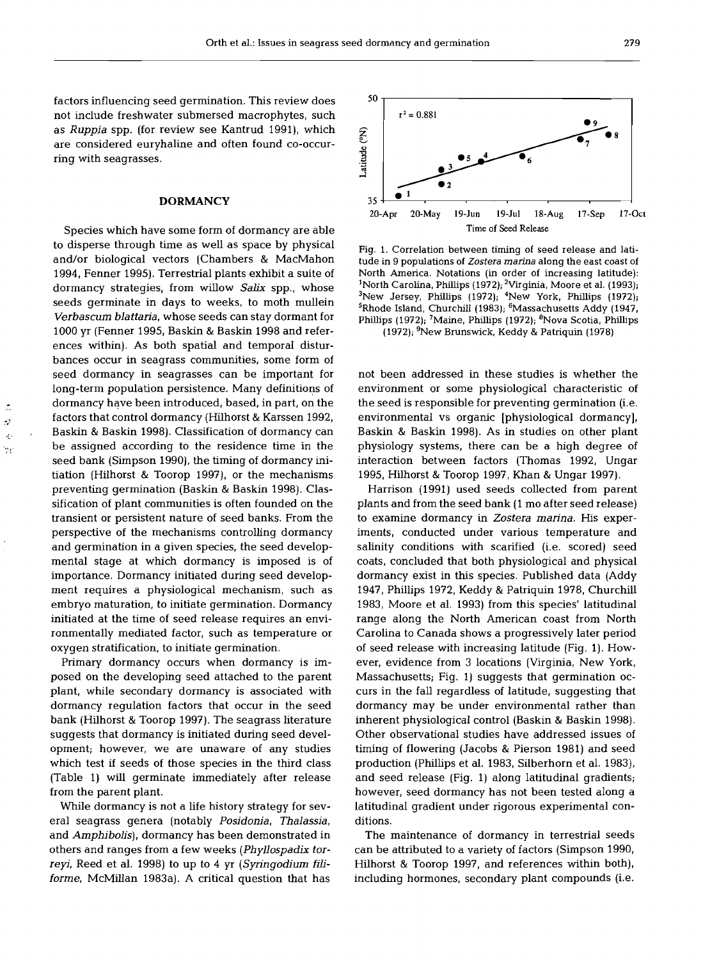50

factors influencing seed germination. This review does not include freshwater submersed macrophytes, such as Ruppia spp. (for review see Kantrud 1991), which are considered euryhaline and often found co-occurring with seagrasses.

#### **DORMANCY**

Species which have some form of dormancy are able to disperse through time as well as space by physical and/or biological vectors (Chambers & MacMahon 1994, Fenner 1995). Terrestrial plants exhibit a suite of dormancy strategies, from willow Salix spp., whose seeds germinate in days to weeks, to moth mullein Verbascum blattaria, whose seeds can stay dormant for 1000 yr (Fenner 1995, Baskin & Baskin 1998 and references within). As both spatial and temporal disturbances occur in seagrass communities, some form of seed dormancy in seagrasses can be important for long-term population persistence. Many definitions of dormancy have been introduced, based, in part, on the factors that control dormancy (Hilhorst & Karssen 1992, Baskin & Baskin 1998). Classification of dormancy can be assigned according to the residence time in the seed bank (Simpson 1990), the timing of dormancy initiation (Hilhorst & Toorop 1997), or the mechanisms preventing germination (Baskin & Baskin 1998). Classification of plant communities is often founded on the transient or persistent nature of seed banks. From the perspective of the mechanisms controlling dormancy and germination in a given species, the seed developmental stage at which dormancy is imposed is of importance. Dormancy initiated during seed development requires a physiological mechanism, such as embryo maturation, to initiate germination. Dormancy initiated at the time of seed release requires an environmentally mediated factor, such as temperature or oxygen stratification, to initiate germination.

 $\mathbf{r}$  $\ddot{\nu}$  $\frac{1}{2}$  $\mathcal{C}_{\mathcal{A}}$ 

> Primary dormancy occurs when dormancy is imposed on the developing seed attached to the parent plant, while secondary dormancy is associated with dormancy regulation factors that occur in the seed bank (Hilhorst & Toorop 1997). The seagrass literature suggests that dormancy is initiated during seed development; however, we are unaware of any studies which test if seeds of those species in the third class (Table **1)** will germinate immediately after release from the parent plant.

> While dormancy is not a life history strategy for several seagrass genera (notably Posidonia, Thalassia, and Amphibolis), dormancy has been demonstrated in others and ranges from a few weeks (Phyllospadix torreyi, Reed et al. 1998) to up to 4 yr (Syringodium filiforme, McMillan 1983a). A critical question that has

 $r^2 = 0.881$ Latitude (°N)  $\bullet$ <sup>1</sup> 35 20-Apr 20-May 19-Jun 19-Jul 18-Aug 17-Sep 17-0ct Time **of** Seed Release

Fig. 1. Correlation between timing of seed release and latitude in 9 populations of Zostera marina along the east coast of North America. Notations (in order of increasing latitude): <sup>1</sup>North Carolina, Phillips (1972); <sup>2</sup>Virginia, Moore et al. (1993);  $3$ New Jersey, Phillips (1972);  $4$ New York, Phillips (1972); <sup>5</sup>Rhode Island, Churchill (1983); <sup>6</sup>Massachusetts Addy (1947, Phillips (1972); <sup>7</sup>Maine, Phillips (1972); <sup>8</sup>Nova Scotia, Phillips (1972); 'New Brunswick, Keddy & Patriquin (1978)

not been addressed in these studies is whether the environment or some physiological characteristic of the seed is responsible for preventing germination (i.e. environmental vs organic [physiological dormancy], Baskin & Baskin 1998). As in studies on other plant physiology systems, there can be a high degree of interaction between factors (Thomas 1992, Ungar

1995, Hilhorst & Toorop 1997, Khan & Ungar 1997). Harrison (1991) used seeds collected from parent plants and from the seed bank (1 mo after seed release) to examine dormancy in Zostera marina. His experiments, conducted under various temperature and salinity conditions with scarified (i.e. scored) seed coats, concluded that both physiological and physical dormancy exist in this species. Published data (Addy 1947, Phillips 1972, Keddy & Patriquin 1978, Churchill 1983, Moore et al. 1993) from this species' latitudinal range along the North American coast from North Carolina to Canada shows a progressively later period of seed release with increasing latitude (Fig. 1). However, evidence from 3 locations (Virginia, New York, Massachusetts; Fig. 1) suggests that germination occurs in the fall regardless of latitude, suggesting that dormancy may be under environmental rather than inherent physiological control (Baskin & Baskin 1998). Other observational studies have addressed issues of timing of flowering (Jacobs & Pierson 1981) and seed production (Phillips et al. 1983, Silberhorn et al. 1983), and seed release (Fig. 1) along latitudinal gradients; however, seed dormancy has not been tested along a latitudinal gradient under rigorous experimental conditions.

The maintenance of dormancy in terrestrial seeds can be attributed to a variety of factors (Simpson 1990, Hilhorst & Toorop 1997, and references within both), including hormones, secondary plant compounds (i.e.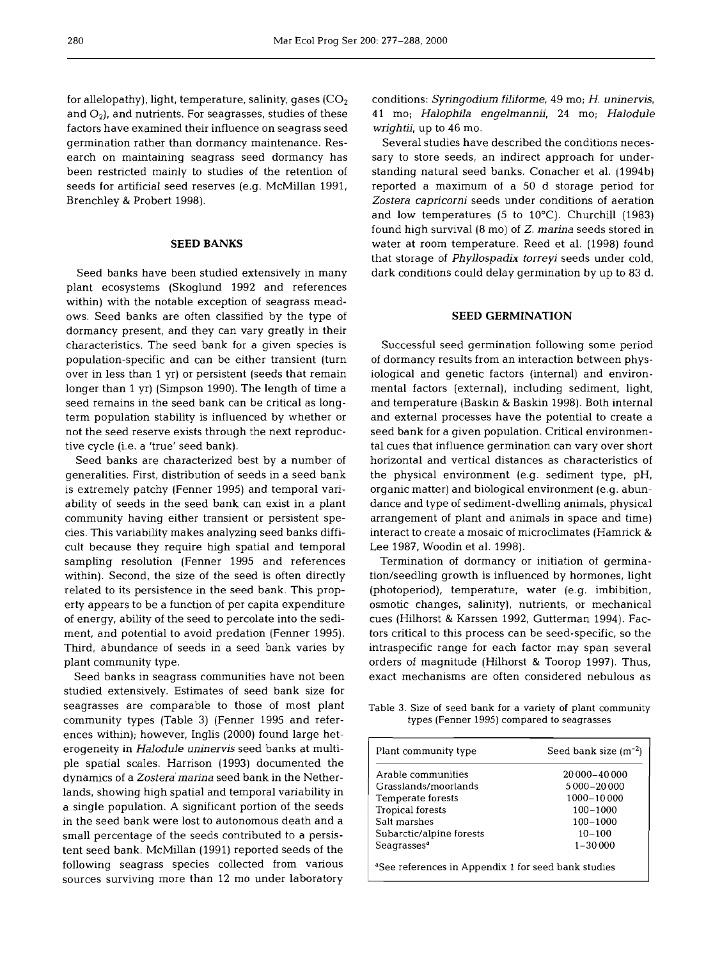for allelopathy), light, temperature, salinity, gases  $(CO<sub>2</sub>)$ and  $O_2$ ), and nutrients. For seagrasses, studies of these factors have examined their influence on seagrass seed germination rather than dormancy maintenance. Research on maintaining seagrass seed dormancy has been restricted mainly to studies of the retention of seeds for artificial seed reserves (e.g. McMillan 1991, Brenchley & Probert 1998).

### **SEED BANKS**

Seed banks have been studied extensively in many plant ecosystems (Skoglund 1992 and references within) with the notable exception of seagrass meadows. Seed banks are often classified by the type of dormancy present, and they can vary greatly in their characteristics. The seed bank for a given species is population-specific and can be either transient (turn over in less than 1 yr) or persistent (seeds that remain longer than 1 yr) (Simpson 1990). The length of time a seed remains in the seed bank can be critical as longterm population stability is influenced by whether or not the seed reserve exists through the next reproductive cycle (i.e. a 'true' seed bank).

Seed banks are characterized best by a number of generalities. First, distribution of seeds in a seed bank is extremely patchy (Fenner 1995) and temporal variability of seeds in the seed bank can exist in a plant community having either transient or persistent species. This variability makes analyzing seed banks difficult because they require high spatial and temporal sampling resolution (Fenner 1995 and references within). Second, the size of the seed is often directly related to its persistence in the seed bank. This property appears to be a function of per capita expenditure of energy, ability of the seed to percolate into the sediment, and potential to avoid predation (Fenner 1995). Third, abundance of seeds in a seed bank varies by plant community type.

Seed banks in seagrass communities have not been studied extensively. Estimates of seed bank size for seagrasses are comparable to those of most plant community types (Table 3) (Fenner 1995 and references within); however, Inglis (2000) found large heterogeneity in *Halodule uninervis* seed banks at multiple spatial scales. Harrison (1993) documented the dynamics of a *Zostera marina* seed bank in the Netherlands, showing high spatial and temporal variability in a single population. A significant portion of the seeds in the seed bank were lost to autonomous death and a small percentage of the seeds contributed to a persistent seed bank. McMillan (1991) reported seeds of the following seagrass species collected from various sources surviving more than 12 mo under laboratory

conditions: *Syringodium filiforme,* 49 mo; *H, uninervis,*  41 mo; *Halophila engelmannii,* 24 mo; *Halodule wrightii,* up to 46 mo.

Several studies have described the conditions necessary to store seeds, an indirect approach for understanding natural seed banks. Conacher et al. (1994b) reported a maximum of a 50 d storage period for *Zostera capricorni* seeds under conditions of aeration and low temperatures (5 to 10°C). Churchill (1983) found high survival (8 mo) of Z, *marina* seeds stored in water at room temperature. Reed et al. (1998) found that storage of *Phyllospadix torreyi* seeds under cold, dark conditions could delay germination by up to 83 d.

### **SEED GERMINATION**

Successful seed germination following some period of dormancy results from an interaction between physiological and genetic factors (internal) and environmental factors (external), including sediment, light, and temperature (Baskin & Baskin 1998). Both internal and external processes have the potential to create a seed bank for a given population. Critical environmental cues that influence germination can vary over short horizontal and vertical distances as characteristics of the physical environment (e.g. sediment type, pH, organic matter) and biological environment (e.g. abundance and type of sediment-dwelling animals, physical arrangement of plant and animals in space and time) interact to create a mosaic of microclimates (Hamrick & Lee 1987, Woodin et al. 1998).

Termination of dormancy or initiation of germination/seedling growth is influenced by hormones, light (photoperiod), temperature, water (e.g. imbibition, osmotic changes, salinity), nutrients, or mechanical cues (Hilhorst & Karssen 1992, Gutterman 1994). Factors critical to this process can be seed-specific, so the intraspecific range for each factor may span several orders of magnitude (Hilhorst & Toorop 1997). Thus, exact mechanisms are often considered nebulous as

Table **3.** Size of seed bank for a variety of plant community types (Fenner 1995) compared to seagrasses

| Plant community type                                            | Seed bank size $(m^{-2})$ |  |  |  |  |  |
|-----------------------------------------------------------------|---------------------------|--|--|--|--|--|
| Arable communities                                              | 20000-40000               |  |  |  |  |  |
| Grasslands/moorlands                                            | 5 000 - 20 000            |  |  |  |  |  |
| Temperate forests                                               | 1000-10000                |  |  |  |  |  |
| <b>Tropical forests</b>                                         | $100 - 1000$              |  |  |  |  |  |
| Salt marshes                                                    | $100 - 1000$              |  |  |  |  |  |
| Subarctic/alpine forests                                        | $10 - 100$                |  |  |  |  |  |
| Seagrasses <sup>a</sup>                                         | $1 - 30000$               |  |  |  |  |  |
| <sup>a</sup> See references in Appendix 1 for seed bank studies |                           |  |  |  |  |  |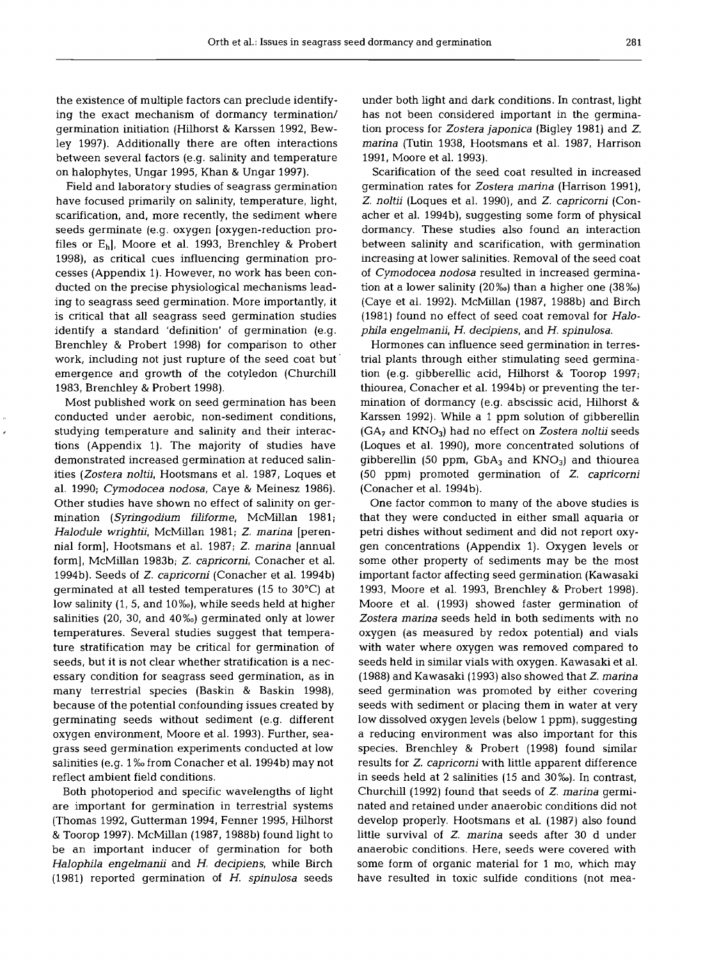the existence of multiple factors can preclude identifying the exact mechanism of dormancy termination/ germination initiation (Hilhorst & Karssen 1992, Bewley 1997). Additionally there are often interactions between several factors (e.g. salinity and temperature on halophytes, Ungar 1995, Khan & Ungar 1997).

Field and laboratory studies of seagrass germination have focused primarily on salinity, temperature, light, scarification, and, more recently, the sediment where seeds germinate (e.g. oxygen [oxygen-reduction profiles or Eh], Moore et al. 1993, Brenchley & Probert 1998), as critical cues influencing germination processes (Appendix 1). However, no work has been conducted on the precise physiological mechanisms leading to seagrass seed germination. More importantly, it is critical that all seagrass seed germination studies identify a standard 'definition' of germination (e.g. Brenchley & Probert 1998) for comparison to other work, including not just rupture of the seed coat but' emergence and growth of the cotyledon (Churchill 1983, Brenchley & Probert 1998).

Most published work on seed germination has been conducted under aerobic, non-sediment conditions, studying temperature and salinity and their interactions (Appendix 1). The majority of studies have demonstrated increased germination at reduced salinities *(Zostera noltii,* Hootsmans et al. 1987, Loques et al. 1990; *Cymodocea nodosa,* Caye & Meinesz 1986). Other studies have shown no effect of salinity on germination *(Syringodium filiforme,* McMillan 1981; *Halodule wrightii,* McMillan 1981; *Z, marina* [perennial form], Hootsmans et al. 1987; *Z. marina* [annual form], McMillan 1983b; *Z. capricorni,* Conacher et al. 1994b). Seeds of *Z. capricorni* (Conacher et al. 1994b) germinated at all tested temperatures (15 to 30°C) at low salinity (1, 5, and 10%), while seeds held at higher salinities (20, 30, and 40%) germinated only at lower temperatures. Several studies suggest that temperature stratification may be critical for germination of seeds, but it is not clear whether stratification is a necessary condition for seagrass seed germination, as in many terrestrial species (Baskin & Baskin 1998), because of the potential confounding issues created by germinating seeds without sediment (e.g. different oxygen environment, Moore et al. 1993). Further, seagrass seed germination experiments conducted at low salinities (e.g. 1% from Conacher et al. 1994b) may not reflect ambient field conditions.

Both photoperiod and specific wavelengths of light are important for germination in terrestrial systems (Thomas 1992, Gutterman 1994, Fenner 1995, Hilhorst & Toorop 1997). McMillan (1987, 1988b) found light to be an important inducer of germination for both *Halophila engelmanii* and *H. decipiens,* while Birch (1981) reported germination of *H. spinulosa* seeds under both light and dark conditions. In contrast, light has not been considered important in the germination process for *Zostera japonica* (Bigley 1981) and *Z. marina* (Tutin 1938, Hootsmans et al. 1987, Harrison 1991, Moore et al. 1993).

Scarification of the seed coat resulted in increased germination rates for *Zostera marina* (Harrison 1991), *Z. noltii* (Loques et al. 1990), and *Z. capricorni* (Conacher et al. 1994b), suggesting some form of physical dormancy. These studies also found an interaction between salinity and scarification, with germination increasing at lower salinities. Removal of the seed coat of *Cymodocea nodosa* resulted in increased germination at a lower salinity  $(20\%)$  than a higher one  $(38\%)$ (Caye et al. 1992). McMillan (1987, 1988b) and Birch (1981) found no effect of seed coat removal for *Halophila engelmanii, H. decipiens,* and *H. spinulosa.* 

Hormones can influence seed germination in terrestrial plants through either stimulating seed germination (e.g. gibberellic acid, Hilhorst & Toorop 1997; thiourea, Conacher et al. 1994b) or preventing the termination of dormancy (e.g. abscissic acid, Hilhorst & Karssen 1992). While a 1 ppm solution of gibberellin (GA7 and KN03) had no effect on *Zostera noltii* seeds (Loques et al. 1990), more concentrated solutions of gibberellin (50 ppm,  $GbA_3$  and  $KNO_3$ ) and thiourea (50 ppm) promoted germination of *Z. capricorni*  (Conacher et al. 1994b).

One factor common to many of the above studies is that they were conducted in either small aquaria or petri dishes without sediment and did not report oxygen concentrations (Appendix 1). Oxygen levels or some other property of sediments may be the most important factor affecting seed germination (Kawasaki 1993, Moore et al. 1993, Brenchley & Probert 1998). Moore et al. (1993) showed faster germination of *Zostera marina* seeds held in both sediments with no oxygen (as measured by redox potential) and vials with water where oxygen was removed compared to seeds held in similar vials with oxygen. Kawasaki et al. (1988) and Kawasaki (1993) also showed that *Z. marina*  seed germination was promoted by either covering seeds with sediment or placing them in water at very low dissolved oxygen levels (below 1 ppm), suggesting a reducing environment was also important for this species. Brenchley & Probert (1998) found similar results for *Z. capricorni* with little apparent difference in seeds held at 2 salinities (15 and 30%). In contrast, Church111 (1992) found that seeds of *Z. marina* germinated and retained under anaerobic conditions did not develop properly. Hootsmans et al. (1987) also found little survival of *Z. marina* seeds after 30 d under anaerobic conditions. Here, seeds were covered with some form of organic material for 1 mo, which may have resulted in toxic sulfide conditions (not mea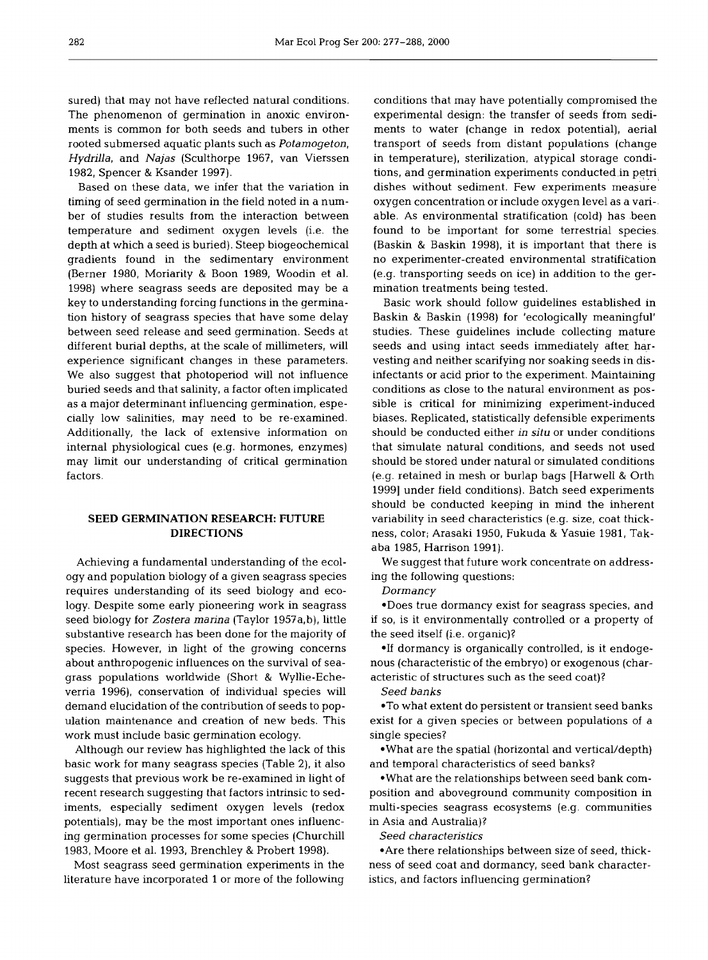sured) that may not have reflected natural conditions. The phenomenon of germination in anoxic environments is common for both seeds and tubers in other rooted submersed aquatic plants such as *Potamogeton, Hydrilla,* and *Najas* (Sculthorpe 1967, van Vierssen 1982, Spencer & Ksander 1997).

Based on these data, we infer that the variation in timing of seed germination in the field noted in a number of studies results from the interaction between temperature and sediment oxygen levels (i.e. the depth at which a seed is buried). Steep biogeochemical gradients found in the sedimentary environment (Berner 1980, Moriarity & Boon 1989, Woodin et al. 1998) where seagrass seeds are deposited may be a key to understanding forcing functions in the germination history of seagrass species that have some delay between seed release and seed germination. Seeds at different burial depths, at the scale of millimeters, will experience significant changes in these parameters. We also suggest that photoperiod will not influence buried seeds and that salinity, a factor often implicated as a major determinant influencing germination, especially low salinities, may need to be re-examined. Additionally, the lack of extensive information on internal physiological cues (e.g. hormones, enzymes) may limit our understanding of critical germination factors.

## **SEED GERMINATION RESEARCH: FUTURE DIRECTIONS**

Achieving a fundamental understanding of the ecology and population biology of a given seagrass species requires understanding of its seed biology and ecology. Despite some early pioneering work in seagrass seed biology for *Zostera marina* (Taylor 1957a,b), little substantive research has been done for the majority of species. However, in light of the growing concerns about anthropogenic influences on the survival of seagrass populations worldwide (Short & Wyllie-Echeverria 1996), conservation of individual species will demand elucidation of the contribution of seeds to population maintenance and creation of new beds. This work must include basic germination ecology.

Although our review has highlighted the lack of this basic work for many seagrass species (Table 2), it also suggests that previous work be re-examined in light of recent research suggesting that factors intrinsic to sediments, especially sediment oxygen levels (redox potentials), may be the most important ones influencing germination processes for some species (Churchill 1983, Moore et al. 1993, Brenchley & Probert 1998).

Most seagrass seed germination experiments in the literature have incorporated 1 or more of the following

conditions that may have potentially compromised the experimental design: the transfer of seeds 'from sediments to water (change in redox potential), aerial transport of seeds from distant populations (change in temperature), sterilization, atypical storage conditions, and germination experiments conducted in petri dishes without sediment. Few experiments measure oxygen concentration or include oxygen level as a variable. As environmental stratification (cold) has been found to be important for some terrestrial species. (Baskin & Baskin 1998), it is important that there is no experimenter-created environmental stratification (e.g. transporting seeds on ice) in addition to the germination treatments being tested.

Basic work should follow guidelines established in Baskin & Baskin (1998) for 'ecologically meaningful' studies. These guidelines include collecting mature seeds and using intact seeds immediately after harvesting and neither scarifying nor soaking seeds in disinfectants or acid prior to the experiment. Maintaining conditions as close to the natural environment as possible is critical for minimizing experiment-induced biases. Replicated, statistically defensible experiments should be conducted either *in situ* or under conditions that simulate natural conditions, and seeds not used should be stored under natural or simulated conditions (e.g. retained in mesh or burlap bags [Harwell & Orth 1999] under field conditions). Batch seed experiments should be conducted keeping in mind the inherent variability in seed characteristics (e.g. size, coat thickness, color; Arasaki 1950, Fukuda & Yasuie 1981, Takaba 1985, Harrison 1991).

We suggest that future work concentrate on addressing the following questions:

*Dormancy* 

\*Does true dormancy exist for seagrass species, and if so, is it environmentally controlled or a property of the seed itself (i.e. organic)?

\*If dormancy is organically controlled, is it endogenous (characteristic of the embryo) or exogenous (characteristic of structures such as the seed coat)?

*Seed banks* 

\*To what extent do persistent or transient seed banks exist for a given species or between populations of a single species?

\*What are the spatial (horizontal and vertical/depth) and temporal characteristics of seed banks?

\*What are the relationships between seed bank composition and aboveground community composition in multi-species seagrass ecosystems (e.g. communities in Asia and Australia)?

*Seed characteristics* 

\*Are there relationships between size of seed, thickness of seed coat and dormancy, seed bank characteristics, and factors influencing germination?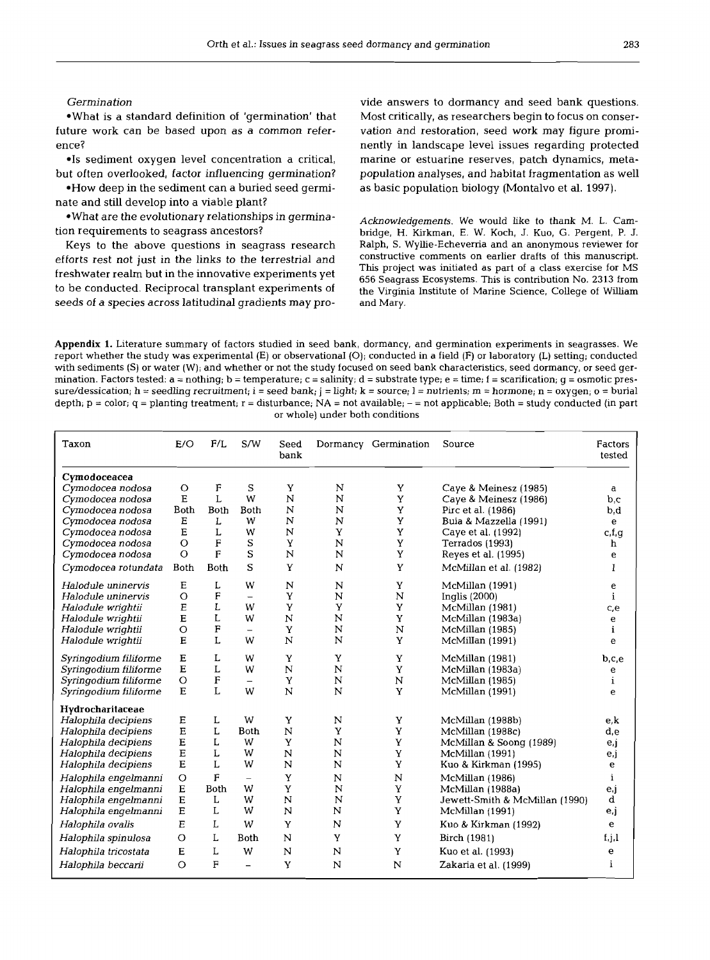## Germination

\*What is a standard definition of 'germination' that future work can be based upon as a common reference?

\*Is sediment oxygen level concentration a critical, but often overlooked, factor influencing germination?

\*How deep in the sediment can a buried seed germinate and still develop into a viable plant?

\*What are the evolutionary relationships in germination requirements to seagrass ancestors?

Keys to the above questions in seagrass research efforts rest not just in the links to the terrestrial and freshwater realm but in the innovative experiments yet to be conducted. Reciprocal transplant experiments of seeds of a species across latitudinal gradients may provide answers to dormancy and seed bank questions. Most critically, as researchers begin to focus on conservation and restoration, seed work may figure prominently in landscape level issues regarding protected marine or estuarine reserves, patch dynamics, metapopulation analyses, and habitat fragmentation as well as basic population biology (Montalvo et al. 1997).

Acknowledgements. We would like to thank M. L. Cambridge, H. Kirkman, E. W. Koch, J. Kuo, G. Pergent, P. J. Ralph, S. Wyllie-Echeverria and an anonymous reviewer for constructive comments on earlier drafts of this manuscript. This project was initiated as part of a class exercise for MS 656 Seagrass Ecosystems. This is contribution No. 2313 from the Virginia Institute of Marine Science, College of William and Mary.

Appendix **1.** Literature summary of factors studied in seed bank, dormancy, and germination experiments in seagrasses. We report whether the study was experimental (E) or observational (O); conducted in a field (F) or laboratory (L) setting; conducted with sediments (S) or water (W); and whether or not the study focused on seed bank character mination. Factors tested:  $a = \text{nothing}$ ; b = temperature; c = salinity; d = substrate type; e = time; f = scarification; q = osmotic pressure/dessication; h = seedling recruitment; i = seed bank; j = light; k = source; l = nutrients; m = hormone; n = oxygen; o = burial depth;  $p = color$ ;  $q = planting treatment$ ;  $r = disturbance$ ;  $NA = not available$ ;  $- = not applicable$ ; Both = study conducted (in part or whole) under both conditions

| Taxon                            | E/O         | F/L         | $\text{S/W}$             | Seed<br>bank   |             | Dormancy Germination | Source                         | Factors<br>tested |
|----------------------------------|-------------|-------------|--------------------------|----------------|-------------|----------------------|--------------------------------|-------------------|
| Cymodoceacea<br>Cymodocea nodosa | $\circ$     | F           | S                        | Y              | N           | Y                    | Caye & Meinesz (1985)          | a                 |
| Cymodocea nodosa                 | E           | L           | W                        | N              | N           | Y                    | Caye & Meinesz (1986)          | b,c               |
| Cymodocea nodosa                 | <b>Both</b> | <b>Both</b> | Both                     | N              | N           | Y                    | Pirc et al. (1986)             | b,d               |
| Cymodocea nodosa                 | E           | L           | W                        | N              | N           | Y                    | Buia & Mazzella (1991)         | e                 |
| Cymodocea nodosa                 | Е           | L           | W                        | N              | Y           | Y                    | Caye et al. (1992)             | c,f,g             |
| Cymodocea nodosa                 | $\circ$     | F           | S                        | Y              | N           | Y                    | Terrados (1993)                | h                 |
| Cymodocea nodosa                 | $\circ$     | F           | S                        | N              | N           | Y                    | Reyes et al. (1995)            | е                 |
| Cymodocea rotundata              | <b>Both</b> | <b>Both</b> | S                        | Y              | N           | Y                    | McMillan et al. (1982)         | I                 |
| Halodule uninervis               | E           | L           | W                        | N              | N           | Y                    | McMillan (1991)                | e                 |
| Halodule uninervis               | $\circ$     | F           | $\overline{\phantom{0}}$ | Y              | N           | N                    | Inglis $(2000)$                | $\mathbf{i}$      |
| Halodule wrightii                | E           | L           | W                        | Y              | Y           | Y                    | McMillan (1981)                | c,e               |
| Halodule wrightii                | E           | L           | W                        | N              | N           | Y                    | McMillan (1983a)               | e                 |
| Halodule wrightii                | $\circ$     | F           | ÷,                       | Y              | N           | N                    | McMillan (1985)                | i                 |
| Halodule wrightii                | $\mathbf E$ | L           | W                        | N              | N           | Y                    | McMillan (1991)                | e                 |
| Syringodium filiforme            | E           | L           | W                        | Y              | Y           | Y                    | McMillan (1981)                | b,c,e             |
| Syringodium filiforme            | E           | L           | W                        | $\mathbf N$    | $\mathbf N$ | Y                    | McMillan (1983a)               | e                 |
| Syringodium filiforme            | $\circ$     | F           | $\overline{\phantom{0}}$ | Y              | $\mathbf N$ | N                    | McMillan (1985)                | $\mathbf{i}$      |
| Syringodium filiforme            | $\mathbf E$ | L           | W                        | N              | N           | Y                    | McMillan (1991)                | e                 |
| Hydrocharitaceae                 |             |             |                          |                |             |                      |                                |                   |
| Halophila decipiens              | Ε           | L           | W                        | Y              | N           | Y                    | McMillan (1988b)               | e.k               |
| Halophila decipiens              | Ε           | L           | <b>Both</b>              | N              | Y           | Y                    | McMillan (1988c)               | d,e               |
| Halophila decipiens              | E           | Г           | W                        | Y              | N           | Y                    | McMillan & Soong (1989)        | $e_{i}$           |
| Halophila decipiens              | E           | L           | W                        | N              | N           | Y                    | McMillan (1991)                | e,j               |
| Halophila decipiens              | E           | L           | W                        | N              | N           | $\mathbf Y$          | Kuo & Kirkman (1995)           | $\mathbf e$       |
| Halophila engelmanni             | $\circ$     | F           | $\overline{\phantom{0}}$ | Y              | N           | N                    | McMillan (1986)                | $\mathbf i$       |
| Halophila engelmanni             | E           | Both        | W                        | Y              | N           | Y                    | McMillan (1988a)               | e.j               |
| Halophila engelmanni             | E           | L           | W                        | $\overline{N}$ | $\mathbf N$ | Y                    | Jewett-Smith & McMillan (1990) | d                 |
| Halophila engelmanni             | E           | L           | W                        | N              | N           | Y                    | McMillan (1991)                | e.j               |
| Halophila ovalis                 | E           | L           | W                        | Y              | N           | Y                    | Kuo & Kirkman (1992)           | $\mathbf e$       |
| Halophila spinulosa              | $\circ$     | L           | <b>Both</b>              | N              | Y           | Y                    | Birch (1981)                   | f,j,l             |
| Halophila tricostata             | E           | L           | W                        | N              | N           | Y                    | Kuo et al. (1993)              | e                 |
| Halophila beccarii               | $\circ$     | F           | $\equiv$                 | Y              | N           | N                    | Zakaria et al. (1999)          | i                 |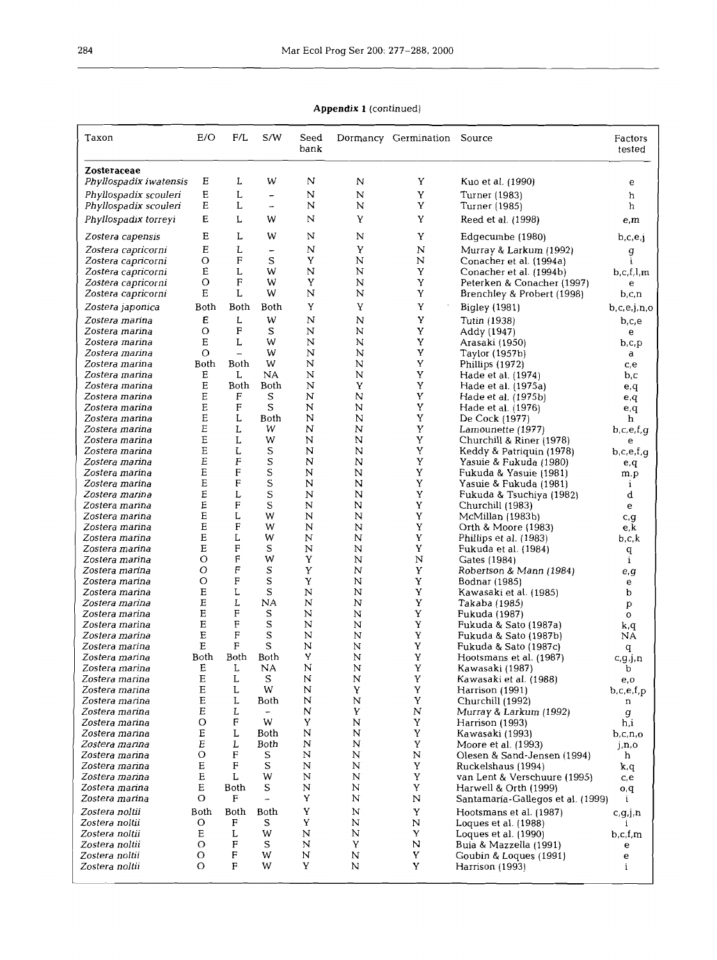**Appendix l** *(continued)* 

| Taxon                                    | E/O         | F/L                 | S/W                                     | Seed<br>bank |         | Dormancy Germination Source |                                                      | Factors<br>tested       |
|------------------------------------------|-------------|---------------------|-----------------------------------------|--------------|---------|-----------------------------|------------------------------------------------------|-------------------------|
| Zosteraceae<br>Phyllospadix iwatensis    | Ε           | L                   | W                                       | N            | N       | Y                           | Kuo et al. (1990)                                    | е                       |
| Phyllospadix scouleri                    | E           | L                   | -                                       | N            | N       | Y                           | Turner (1983)                                        | h                       |
| Phyllospadix scouleri                    | E           | L                   | $\overline{\phantom{a}}$                | N            | N       | Y                           | Turner (1985)                                        | h                       |
| Phyllospadix torreyi                     | Е           | L                   | W                                       | N            | Υ       | Y                           | Reed et al. (1998)                                   | e, m                    |
|                                          | $\mathbf E$ | L                   | W                                       | N            | N       | Y                           |                                                      |                         |
| Zostera capensis                         |             |                     |                                         |              |         |                             | Edgecumbe (1980)                                     | b,c,e,j                 |
| Zostera capricorni<br>Zostera capricorni | Е<br>О      | L<br>F              | $\overline{\phantom{0}}$<br>$\mathbf S$ | N<br>Y       | Υ<br>N  | N<br>N                      | Murray & Larkum (1992)<br>Conacher et al. (1994a)    | g<br>i.                 |
| Zostera capricorni                       | E           | L                   | W                                       | N            | Ν       | Y                           | Conacher et al. (1994b)                              | b, c, f, l, m           |
| Zostera capricorni                       | Ο           | F                   | W                                       | Y            | N       | Y                           | Peterken & Conacher (1997)                           | е                       |
| Zostera capricorni                       | Е           | L                   | W                                       | N            | N       | Y                           | Brenchley & Probert (1998)                           | b,c,n                   |
| Zostera japonica                         | Both        | Both                | Both                                    | Y            | Y       | Y                           | Bigley (1981)                                        | b,c,e,j,n,o             |
| Zostera marina                           | Ε           | L                   | W                                       | N            | N       | Y                           | Tutin (1938)                                         | b,c,e                   |
| Zostera marina                           | O           | F                   | S                                       | N            | N       | Y                           | Addy (1947)                                          | e                       |
| Zostera marina                           | E           | L                   | W                                       | N            | N       | Y                           | Arasaki (1950)                                       | b,c,p                   |
| Zostera marina<br>Zostera marina         | Ο<br>Both   | $\equiv$<br>Both    | W<br>W                                  | N<br>N       | N<br>N  | Υ<br>Y                      | Taylor (1957b)                                       | a                       |
| Zostera marina                           | Е           | L                   | NA                                      | N            | N       | Y                           | Phillips (1972)<br>Hade et al. (1974)                | c,e<br>b,c              |
| Zostera marina                           | E           | Both                | Both                                    | N            | Y       | Y                           | Hade et al. (1975a)                                  | e,q                     |
| Zostera marina                           | E           | F                   | S                                       | N            | N       | Y                           | Hade et al. (1975b)                                  | e,q                     |
| Zostera marina                           | E           | $\mathbf{F}$        | S                                       | N            | N       | Y                           | Hade et al. (1976)                                   | e,q                     |
| Zostera marina                           | E           | L                   | Both                                    | N            | N       | Y                           | De Cock (1977)                                       | h                       |
| Zostera marina                           | Ε<br>E      | L<br>L              | w<br>W                                  | N<br>N       | N<br>N  | Y<br>Y                      | Lamounette (1977)                                    | b,c,e,f,q               |
| Zostera marina<br>Zostera marina         | Ε           | L                   | S                                       | N            | N       | Y                           | Churchill & Riner (1978)<br>Keddy & Patriquin (1978) | e<br>b,c,e,f,q          |
| Zostera marina                           | E           | F                   | S                                       | N            | N       | Y                           | Yasuie & Fukuda (1980)                               | e,q                     |
| Zostera marina                           | E           | F                   | S                                       | N            | Ν       | Y                           | Fukuda & Yasuie (1981)                               | m,p                     |
| Zostera marina                           | E           | F                   | S                                       | N            | N       | Y                           | Yasuie & Fukuda (1981)                               | i                       |
| Zostera marina                           | E           | L                   | S                                       | N            | N       | Y                           | Fukuda & Tsuchiya (1982)                             | d                       |
| Zostera marina<br>Zostera marina         | E<br>Е      | F<br>L              | S<br>W                                  | N<br>N       | N<br>N  | Y<br>Y                      | Churchill (1983)                                     | e                       |
| Zostera marina                           | E           | F                   | W                                       | N            | N       | Y                           | McMillan (1983b)<br>Orth & Moore (1983)              | c, q<br>e,k             |
| Zostera marina                           | E           | L                   | W                                       | N            | N       | Y                           | Phillips et al. (1983)                               | b,c,k                   |
| Zostera marina                           | E           | F                   | S                                       | N            | N       | Y                           | Fukuda et al. (1984)                                 | $\bf q$                 |
| Zostera marina                           | О           | F                   | W                                       | Y            | N       | $\mathbf N$                 | Gates (1984)                                         | i                       |
| Zostera marina                           | О           | F<br>F              | S                                       | Y            | N       | Y                           | Robertson & Mann (1984)                              | e,g                     |
| Zostera marina<br>Zostera marina         | О<br>E      | Г                   | S<br>S                                  | Y<br>N       | N<br>N  | Y<br>Y                      | Bodnar (1985)<br>Kawasaki et al. (1985)              | e<br>b                  |
| Zostera marina                           | Ε           | L                   | NA                                      | N            | N       | $\mathbf Y$                 | Takaba (1985)                                        | p                       |
| Zostera marina                           | Е           | F                   | S                                       | N            | N       | Y                           | Fukuda (1987)                                        | $\mathbf{o}$            |
| Zostera marina                           | E           | $\mathbf F$         | S                                       | N            | N       | Y                           | Fukuda & Sato (1987a)                                | k,q                     |
| Zostera marina                           | Ε           | F                   | S                                       | N            | N       | Y                           | Fukuda & Sato (1987b)                                | NA                      |
| Zostera marina<br>Zostera marina         | E<br>Both   | $\mathbf F$<br>Both | S<br>Both                               | N<br>Y       | N<br>N  | Y<br>Y                      | Fukuda & Sato (1987c)                                | q                       |
| Zostera marina                           | Е           | L                   | <b>NA</b>                               | N            | N       | Y                           | Hootsmans et al. (1987)<br>Kawasaki (1987)           | c,g,j,n<br>v            |
| Zostera marina                           | $\mathbf E$ | L                   | S                                       | N            | Ν       | Y                           | Kawasaki et al. (1988)                               | e,o                     |
| Zostera marina                           | $\mathbf E$ | L                   | W                                       | N            | γ       | Y                           | Harrison (1991)                                      | b,c,e,f,p               |
| Zostera marina                           | Ε           | L                   | Both                                    | N            | N       | Y                           | Churchill (1992)                                     | n                       |
| Zostera marina                           | $\mathbf E$ | L                   |                                         | N            | Υ       | ${\bf N}$                   | Murray & Larkum (1992)                               | g                       |
| Zostera marina<br>Zostera marina         | O<br>Ε      | F<br>L              | W<br>Both                               | Y<br>N       | N<br>N  | Y<br>Y                      | Harrison (1993)<br>Kawasaki (1993)                   | h,i                     |
| Zostera marina                           | $\cal E$    | L                   | Both                                    | N            | N       | Y                           | Moore et al. (1993)                                  | b,c,n,o<br>i, n, o      |
| Zostera marina                           | $\circ$     | F                   | S                                       | N            | N       | ${\bf N}$                   | Olesen & Sand-Jensen (1994)                          | h                       |
| Zostera marina                           | E           | F                   | S                                       | N            | N       | Y                           | Ruckelshaus (1994)                                   | k,q                     |
| Zostera marina                           | ${\bf E}$   | L                   | W                                       | N            | N       | $\mathbf Y$                 | van Lent & Verschuure (1995)                         | c,e                     |
| Zostera marina                           | Е           | Both                | S                                       | N            | $\bf N$ | Y                           | Harwell & Orth (1999)                                | $\mathbf{p},\mathbf{o}$ |
| Zostera marina                           | O           | $\rm F$             | $\overline{\phantom{0}}$                | Y            | N       | N                           | Santamaría-Gallegos et al. (1999)                    | $\mathbf{i}$            |
| Zostera noltii                           | Both        | Both                | Both                                    | Y<br>Y       | N       | Y                           | Hootsmans et al. (1987)                              | c.g.j.n                 |
| Zostera noltii<br>Zostera noltii         | О<br>Е      | F<br>L              | S<br>W                                  | N            | N<br>N  | N<br>Y                      | Loques et al. (1988)<br>Loques et al. (1990)         | b, c, f, m              |
| Zostera noltii                           | O           | F                   | S                                       | N            | Y       | N                           | Buia & Mazzella (1991)                               | e                       |
| Zostera noltii                           | Ο           | F                   | W                                       | N            | N       | Y                           | Goubin & Loques (1991)                               | e                       |
| Zostera noltii                           | O           | $\mathbf F$         | W                                       | Y            | N       | Y                           | Harrison (1993)                                      | i                       |
|                                          |             |                     |                                         |              |         |                             |                                                      |                         |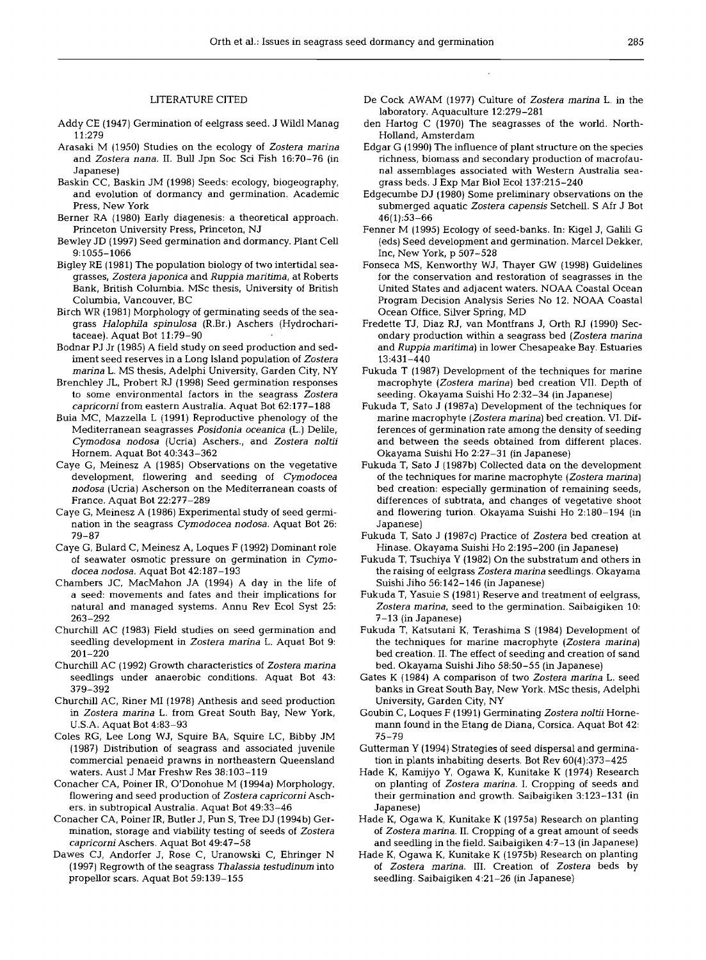## LITERATURE CITED

- Addy CE (1947) Germination of eelgrass seed. J Wild1 Manag 11:279
- Arasaki M (1950) Studies on the ecology of Zostera marina and Zostera nana. 11. Bull Jpn Soc Sci Fish 16:70-76 (in Japanese)
- Baskin CC, Baskin JM (1998) Seeds: ecology, biogeography, and evolution of dormancy and germination. Academic Press, New York
- Berner RA (1980) Early diagenesis: a theoretical approach. Princeton University Press, Princeton, NJ
- Bewley JD (1997) Seed germination and dormancy. Plant Cell 9:1055-1066
- Bigley RE (1981) The population biology of two intertidal seagrasses, Zostera japonica and Ruppia maritima, at Roberts Bank, British Columbia. MSc thesis, University of British Columbia, Vancouver, BC
- Birch WR (1981) Morphology of germinating seeds of the seagrass Halophila spinulosa (R.Br.) Aschers (Hydrocharitaceae). Aquat Bot 11:79-90
- Bodnar PJ Jr (1985) A field study on seed production and sediment seed reserves in a Long Island population of Zostera marina L. MS thesis, Adelphi University, Garden City, NY
- Brenchley JL, Probert RJ (1998) Seed germination responses to some environmental factors in the seagrass Zostera capricorni from eastern Australia. Aquat Bot 62:177-188
- Buia MC, Mazzella L (1991) Reproductive phenology of the Mediterranean seagrasses Posidonia oceanica (L.) Delile, Cyrnodosa nodosa (Ucria) Aschers., and Zostera noltii Hornem. Aquat Bot 40:343-362
- Caye G, Meinesz A (1985) Observations on the vegetative development, flowering and seeding of Cymodocea nodosa (Ucria) Ascherson on the Mediterranean coasts of France. Aquat Bot 22:277-289
- Caye G, Meinesz A (1986) Experimental study of seed germination in the seagrass Cymodocea nodosa. Aquat Bot 26: 79-87
- Caye G, Bulard C, Meinesz **A,** Loques F (1992) Dominant role of seawater osmotic pressure on germination in Cymodocea nodosa. Aquat Bot 42:187-193
- Chambers JC, MacMahon JA (1994) A day in the life of a seed: movements and fates and their implications for natural and managed systems. Annu Rev Ecol Syst 25: 263-292
- Churchill AC (1983) Field studies on seed germination and seedling development in Zostera marina L. Aquat Bot 9: 201-220
- Churchill AC (1992) Growth characteristics of Zostera marina seedlings under anaerobic conditions. Aquat Bot 43: 379-392
- Churchill AC, Riner M1 (1978) Anthesis and seed production in Zostera marina L. from Great South Bay, New York, U.S.A. Aquat Bot 4:83-93
- Coles RG, Lee Long WJ, Squire BA, Squire LC, Bibby JM (1987) Distribution of seagrass and associated juvenile commercial penaeid prawns in northeastern Queensland waters. Aust J Mar Freshw Res 38:103-119
- Conacher CA, Poiner IR, O'Donohue M (1994a) Morphology, flowering and seed production of Zostera capricorni Aschers. in subtropical Australia. Aquat Bot 49:33-46
- Conacher CA, Poiner IR, Butler J, Pun S, Tree DJ (1994b) Germination, storage and viability testing of seeds of Zostera capricorni Aschers. Aquat Bot 49:47-58
- Dawes CJ, Andorfer J, Rose C, Uranowski C, Ehringer N (1997) Regrowth of the seagrass Thalassia testudinum into propellor scars. Aquat Bot 59:139-155
- De Cock AWAM (1977) Culture of Zostera marina L. in the laboratory. Aquaculture 12:279-281
- den Hartog C (1970) The seagrasses of the world. North-Holland, Amsterdam
- Edgar G (1990) The influence of plant structure on the species richness, biomass and secondary production of macrofaunal assemblages associated with Western Australia seagrass beds. J Exp Mar Biol Ecol 137:215-240
- Edgecumbe DJ (1980) Some preliminary observations on the submerged aquatic Zostera capensis Setchell. S Afr J Bot 46(1):53-66
- Fenner M (1995) Ecology of seed-banks. In: Kigel J, Galili G (eds) Seed development and germination. Marcel Dekker, Inc, New York, p 507-528
- Fonseca MS, Kenworthy WJ, Thayer GW (1998) Guidelines for the conservation and restoration of seagrasses in the United States and adjacent waters. NOAA Coastal Ocean Program Decision Analysis Series No 12. NOAA Coastal Ocean Office, Silver Spring, MD
- Fredette TJ, Diaz RJ, van Montfrans J, Orth RJ (1990) Secondary production within a seagrass bed (Zostera marina and Ruppia maritima) in lower Chesapeake Bay. Estuaries 13:431-440
- Fukuda T (1987) Development of the techniques for marine macrophyte (Zostera marina) bed creation VII. Depth of seeding. Okayama Suishi Ho 2:32-34 (in Japanese)
- Fukuda T, Sato J (1987a) Development of the techniques for marine macrophyte (Zostera marina) bed creation. VI. Differences of germination rate among the density of seeding and between the seeds obtained from different places. Okayama Suishi Ho 2:27-31 (in Japanese)
- Fukuda T, Sato J (1987b) Collected data on the development of the techniques for marine macrophyte (Zostera marina) bed creation: especially germination of remaining seeds, differences of subtrata, and changes of vegetative shoot and flowering turion. Okayama Suishi Ho 2:180-194 (in Japanese)
- Fukuda T, Sato J (1987c) Practice of Zostera bed creation at Hinase. Okayama Suishi Ho 2:195-200 (in Japanese)
- Fukuda T, Tsuchiya Y (1982) On the substratum and others in the raising of eelgrass Zostera marina seedlings. Okayama Suishi Jiho 56:142-146 (in Japanese)
- Fukuda T, Yasuie S (1981) Reserve and treatment of eelgrass, Zostera marina, seed to the germination. Saibaigiken 10: 7-13 (in Japanese)
- Fukuda T, Katsutani K, Terashima S (1984) Development of the techniques for marine macrophyte (Zostera marina) bed creation. 11. The effect of seeding and creation of sand bed. Okayama Suishi Jiho 58:50-55 (in Japanese)
- Gates K (1984) A comparison of two Zostera marina L. seed banks in Great South Bay, New York. MSc thesis, Adelphi University, Garden City, NY
- Goubin C, Loques F (1991) Germinating Zostera noltii Hornemann found in the Etang de Diana, Corsica. Aquat Bot 42: 75-79
- Gutterman Y (1994) Strategies of seed dispersal and germination in plants inhabiting deserts. Bot Rev 60(4):373-425
- Hade K, Kamijyo Y, Ogawa K, Kunitake K (1974) Research on planting of Zostera marina. I. Cropping of seeds and their germination and growth. Saibaigiken 3:123-131 (in Japanese)
- Hade K, Ogawa K, Kunitake K (1975a) Research on planting of Zostera marina. 11. Cropping of a great amount of seeds and seedling in the field. Saibaigiken 4:?-13 (in Japanese)
- Hade K, Ogawa K, Kunitake K (1975b) Research on planting of Zostera marina. 111. Creation of Zostera beds by seedling. Saibaigiken 4:21-26 (in Japanese)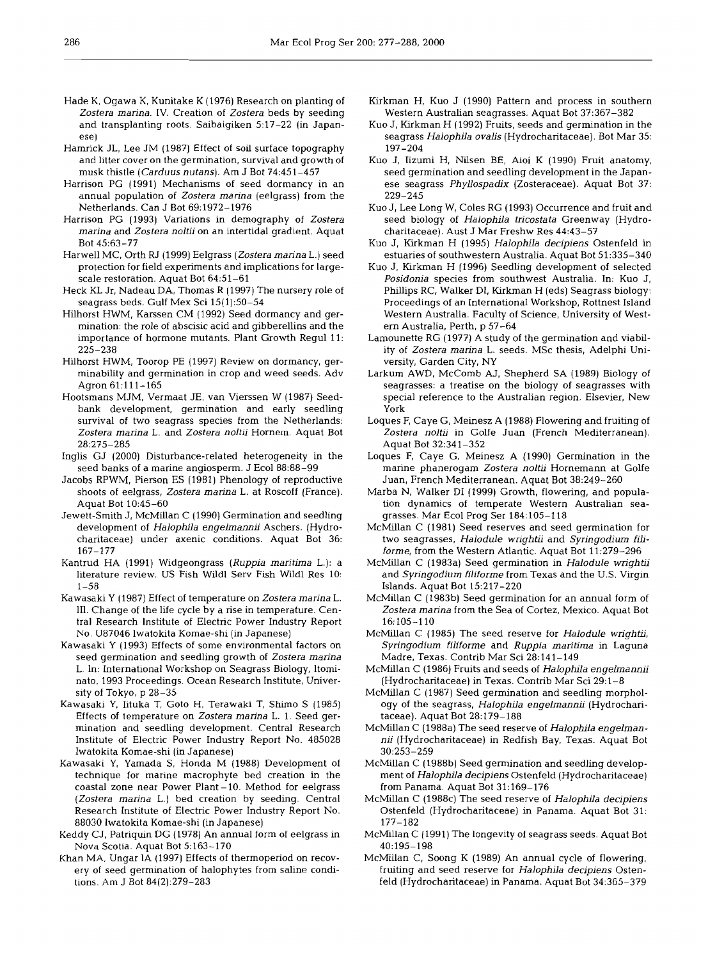- Hade K, Ogawa K, Kunitake K (1976) Research on planting of Zostera marina. IV. Creation of Zostera beds by seeding and transplanting roots. Saibaigiken 5:17-22 (in Japanese)
- Hamrick JL, Lee JM (1987) Effect of soil surface topography and litter cover on the germination, survival and growth of musk thistle (Carduus nutans). Am J Bot 74:451-457
- Harrison PG (1991) Mechanisms of seed dormancy in an annual population of Zostera marina (eelgrass) from the Netherlands. Can J Bot 69:1972-1976
- Harrison PG (1993) Variations in demography of Zostera marina and Zostera noltii on an intertidal gradient. Aquat Bot 45:63-77
- Harwell MC, Orth RJ (1999) Eelgrass (Zostera marina L.) seed protection for field experiments and implications for largescale restoration. Aquat Bot  $64:51-61$
- Heck KL Jr, Nadeau DA, Thomas R (1997) The nursery role of seagrass beds. Gulf Mex Sci 15(1):50-54
- Hilhorst HWM, Karssen CM (1992) Seed dormancy and germination: the role of abscisic acid and gibberellins and the importance of hormone mutants. Plant Growth Regul 11: 225-238
- Hilhorst HWM, Toorop PE (1997) Review on dormancy, germinability and germination in crop and weed seeds. Adv Agron 61:111-165
- Hootsmans MJM, Vermaat JE, van Vierssen W (1987) Seedbank development, germination and early seedling survival of two seagrass species from the Netherlands: Zostera marina L, and Zostera noltii Hornem. Aquat Bot 28:275-285
- Inglis GJ (2000) Disturbance-related heterogeneity in the seed banks of a marine angiosperm. J Ecol 88:88-99
- Jacobs RPWM, Pierson ES (1981) Phenology of reproductive shoots of eelgrass, Zostera marina L. at Roscoff (France). Aquat Bot 10:45-60
- Jewett-Smith J, McMillan C (1990) Germination and seedling development of Halophila engelmannii Aschers. (Hydrocharitaceae) under axenic conditions. Aquat Bot 36: 167-177
- Kantrud HA (1991) Widgeongrass (Ruppia maritima L.): a literature review. US Fish Wildl Serv Fish Wildl Res 10:  $1 - 58$
- Kawasaki Y (1987) Effect of temperature on Zostera marina L. 111. Change of the life cycle by a rise in temperature. Central Research Institute of Electric Power Industry Report No. U87046 lwatokita Komae-shi (in Japanese)
- Kawasaki Y (1993) Effects of some environmental factors on seed germination and seedling growth of Zostera marina L. In: International Workshop on Seagrass Biology, ltominato. 1993 Proceedings. Ocean Research Institute, University of Tokyo, p 28-35
- Kawasaki Y, Iituka **T,** Goto H. Terawaki T, Shimo S (1985) Effects of temperature on Zostera marina L. 1. Seed germination and seedling development. Central Research Institute of Electric Power Industry Report No. 485028 Iwatokita Komae-shi (in Japanese)
- Kawasaki Y, Yamada S, Honda M (1988) Development of technique for marine macrophyte bed creation in the coastal zone near Power Plant -10. Method for eelgrass (Zostera marina L.) bed creation by seeding. Central Research Institute of Electric Power Industry Report No. 88030 lwatokita Komae-shi (in Japanese)
- Keddy CJ, Patriquin DG (1978) An annual form of eelgrass in Nova Scotia. Aquat Bot 5:163-170
- Khan MA. Ungar 1A (1997) Effects of thermoperiod on recovery of seed germination of halophytes from saline conditions. Am J Bot 84(2):279-283
- Kirkman H, Kuo J (1990) Pattern and process in southern Western Australian seagrasses. Aquat Bot 37:367-382
- Kuo J, Kirkman H (1992) Fruits, seeds and germination in the seagrass Halophila ovalis (Hydrocharitaceae). Bot Mar 35: 197-204
- Kuo J, Iizumi H, Nilsen BE, Aioi K (1990) Fruit anatomy, seed germination and seedling development in the Japanese seagrass Phyllospadix (Zosteraceae). Aquat Bot 37: 229-245
- Kuo J, Lee Long W, Coles RG (1993) Occurrence and fruit and seed biology of Halophila tricostata Greenway (Hydrocharitaceae). Aust J Mar Freshw Res 44:43-57
- Kuo J, Kirkman H (1995) Halophila decipiens Ostenfeld in estuaries of southwestern Australia. Aquat Bot 51:335-340
- Kuo J, Kirkman H (1996) Seedling development of selected Posidonia species from southwest Australia. In: Kuo J, Phillips RC, Walker DI, Kirkman H (eds) Seagrass biology: Proceedings of an International Workshop, Rottnest Island Western Australia. Faculty of Science, University of Western Australia, Perth, p 57-64
- Lamounette RG (1977) A study of the germination and viability of Zostera marina L. seeds. MSc thesis, Adelphi University, Garden City, NY
- Larkum AWD, McComb AJ, Shepherd SA (1989) Biology of seagrasses: a treatise on the biology of seagrasses with special reference to the Australian region. Elsevier, New York
- Loques F, Caye G, Meinesz A (1988) Flowering and fruiting of Zostera noltii in Golfe Juan (French Mediterranean). Aquat Bot 32:341-352
- Loques F, Caye G, Meinesz A (1990) Germination in the marine phanerogam Zostera noltii Hornemann at Golfe Juan, French Mediterranean. Aquat Bot 38:249-260
- Marba N, Walker D1 (1999) Growth, flowering, and population dynamics of temperate Western Australian seagrasses. Mar Ecol Prog Ser 184:105-118
- McMillan C (1981) Seed reserves and seed germination for two seagrasses, Halodule wrightii and Syringodium filiforme, from the Western Atlantic. Aquat Bot 11:279-296
- McMillan C (1983a) Seed germination in Halodule wrightii and Syringodium filiforme from Texas and the U.S. Virgin Islands. Aquat Bot 15:217-220
- McMillan C (1983b) Seed germination for an annual form of Zostera marina from the Sea of Cortez, Mexico. Aquat Bot 16:105-110
- McMillan C (1985) The seed reserve for Halodule wrightii, Syringodium filiforme and Ruppia maritima in Laguna Madre, Texas. Contrib Mar Sci 28:141-149
- McMillan C (1986) Fruits and seeds of Halophila engelmannii (Hydrocharitaceae) in Texas. Contrib Mar Sci 29:l-8
- McMillan C (1987) Seed germination and seedling morphology of the seagrass, Halophila engelmannii (Hydrocharitaceae). Aquat Bot 28:179-188
- McMillan C (1988a) The seed reserve of Halophila engelmannii (Hydrocharitaceae) in Redfish Bay, Texas. Aquat Bot 30:253-259
- McMillan C (1988b) Seed germination and seedling development of Halophila decipiens Ostenfeld (Hydrocharitaceae) from Panama. Aquat Bot 31:169-176
- McMillan C (1988c) The seed reserve of Halophila decipiens Ostenfeld (Hydrocharitaceae) in Panama. Aquat Bot 31: 177-182
- McMillan C (1991) The longevity of seagrass seeds. Aquat Bot 40:195-198
- McMillan C, Soong K (1989) An annual cycle of flowering. fruiting and seed reserve for Halophila decipiens Ostenfeld (Hydrocharitaceae) in Panama. Aquat Bot 34:365-379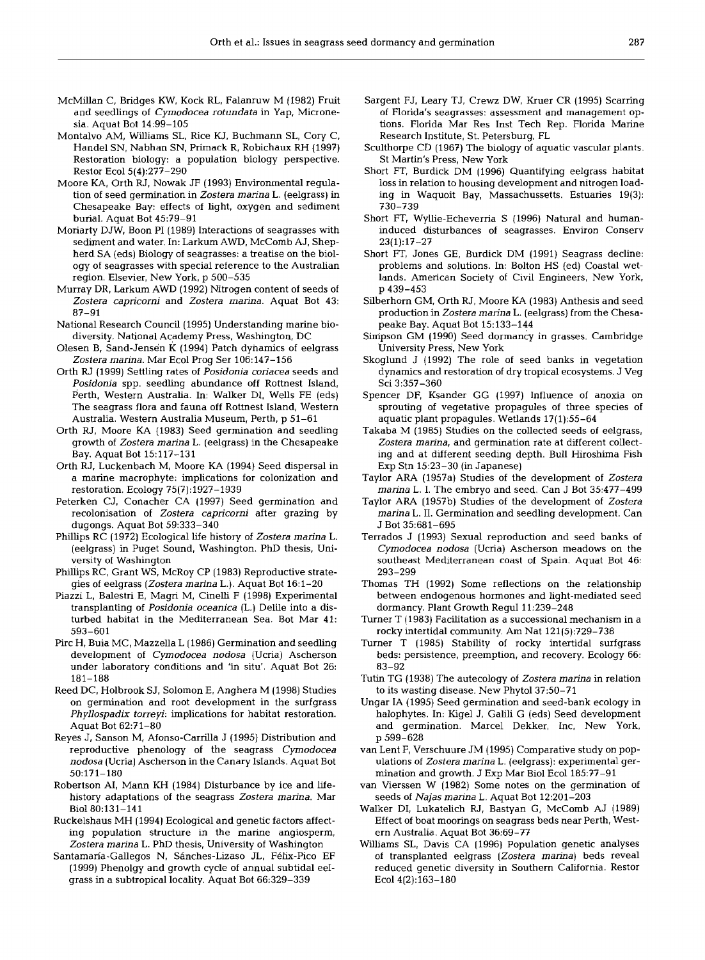- McMillan C, Bridges KW, Kock RL, Falanruw M (1982) Fruit and seedlings of Cymodocea rotundata in Yap, Micronesia. Aquat Bot 14:99-105
- Montalvo AM, Williams SL, Rice KJ, Buchmann SL, Cory C, Handel SN, Nabhan SN, Primack R, Robichaux RH (1997) Restoration biology: a population biology perspective. Restor Ecol5(4):277-290
- Moore KA, Orth RJ, Nowak JF (1993) Environmental regulation of seed germination in Zostera marina L. (eelgrass) in Chesapeake Bay: effects of light, oxygen and sedment burial. Aquat Bot 45:79-91
- Moriarty DJW, Boon PI (1989) Interactions of seagrasses with sediment and water. In: Larkum AWD, McComb AJ, Shepherd SA (eds) Biology of seagrasses: a treatise on the biology of seagrasses with special reference to the Australian region. Elsevier, New York, p 500-535
- Murray DR, Larkum AWD (1992) Nitrogen content of seeds of Zostera capricorni and Zostera marina. Aquat Bot 43: 87-91
- National Research Council (1995) Understanding marine biodiversity. National Academy Press, Washington, DC
- Olesen B, Sand-Jensen K (1994) Patch dynamics of eelgrass Zostera marina. Mar Ecol Prog Ser 106:147-156
- Orth RJ (1999) Settling rates of Posidonia coriacea seeds and Posidonia spp. seedling abundance off Rottnest Island, Perth, Western Australia. In: Walker DI, Wells FE (eds) The seagrass flora and fauna off Rottnest Island, Western Australia. Western Australia Museum, Perth, p 51-61
- Orth RJ, Moore KA (1983) Seed germination and seedling growth of Zostera marina L. (eelgrass) in the Chesapeake Bay. Aquat Bot 15:117-131
- Orth RJ, Luckenbach M, Moore KA (1994) Seed dispersal in a marine macrophyte: implications for colonization and restoration. Ecology 75(7): 1927-1939
- Peterken CJ, Conacher CA (1997) Seed germination and recolonisation of Zostera capricorni after grazing by dugongs. Aquat Bot 59:333-340
- Phillips RC (1972) Ecological life history of Zostera marina L. (eelgrass) in Puget Sound, Washington. PhD thesis, University of Washington
- Phillips RC, Grant WS, McRoy CP (1983) Reproductive strategies of eelgrass (Zostera marina L.). Aquat Bot 16:l-20
- Piazzi L, Balestri E, Magri M, Cinelli F (1998) Experimental transplanting of Posidonia oceanica (L.) Delile into a disturbed habitat in the Mediterranean Sea. Bot Mar 41: 593-601
- Pirc H, Buia MC, Mazzella L (1986) Germination and seedling development of Cymodocea nodosa (Ucria) Ascherson under laboratory conditions and 'in situ'. Aquat Bot 26: 181-188
- Reed DC, Holbrook SJ, Solomon E, Anghera M (1998) Studies on germination and root development in the surfgrass Phyllospadix torreyi: implications for habitat restoration. Aquat Bot 62:7 1-80
- Reyes J, Sanson M, Afonso-Carrilla J (1995) Distribution and reproductive phenology of the seagrass Cymodocea nodosa (Ucria] Ascherson in the Canary IsIands. Aquat Bot 50:171-180
- Robertson AI, Mann KH (1984) Disturbance by ice and lifehistory adaptations of the seagrass Zostera marina. Mar Bio180:131-141
- Ruckelshaus MH (1994) Ecological and genetic factors affecting population structure in the marine angiosperm, Zostera marina L. PhD thesis, University of Washington
- Santamaria-Gallegos N, Sanches-Lizaso JL, Felix-Pico EF (1999) Phenolgy and growth cycle of annual subtidal eeIgrass in a subtropical locality. Aquat Bot 66:329-339
- Sargent FJ, Leary TJ, Crewz DW, Kruer CR (1995) Scarring of Florida's seagrasses: assessment and management options. Florida Mar Res Inst Tech Rep. Florida Marine Research Institute, St. Petersburg, FL
- Sculthorpe CD (1967) The biology of aquatic vascular plants. St Martin's Press, New York
- Short FT, Burdick DM (1996) Quantifying eelgrass habitat loss in relation to housing development and nitrogen loading in Waquoit Bay, Massachussetts. Estuaries 19(3): 730-739
- Short FT, Wyllie-Echeverria S (1996) Natural and humaninduced disturbances of seagrasses. Environ Conserv 23(1):17-27
- Short FT, Jones GE, Burdick DM (1991) Seagrass decline: problems and solutions. In: Bolton HS (ed) Coastal wetlands. American Society of Civil Engineers, New York, p 439-453
- Silberhorn GM, Orth RJ, Moore KA (1983) Anthesis and seed production in Zostera marina L. (eelgrass) from the Chesapeake Bay. Aquat Bot 15:133-144
- Simpson GM (1990) Seed dormancy in grasses. Cambridge University Press, New York
- Skoglund J (1992) The role of seed banks in vegetation dynamics and restoration of dry tropical ecosystems. J Veg Sci 3:357-360
- Spencer DF, Ksander GG (1997) Influence of anoxia on sprouting of vegetative propagules of three species of aquatic plant propagules. Wetlands 17(1):55-64
- Takaba M (1985) Studies on the collected seeds of eelgrass, Zostera marina, and germination rate at different collecting and at different seeding depth. Bull Hiroshima Fish Exp Stn 15:23-30 (in Japanese)
- Taylor ARA (1957a) Studies of the development of Zostera marina L. I. The embryo and seed. Can J Bot 35:477-499
- Taylor ARA (1957b) Studies of the development of Zostera marina L. 11. Germination and seedling development. Can J Bot 35:681-695
- Terrados J (1993) Sexual reproduction and seed banks of Cymodocea nodosa (Ucria) Ascherson meadows on the southeast Mediterranean coast of Spain. Aquat Bot 46: 293-299
- Thomas TH (1992) Some reflections on the relationship between endogenous hormones and light-mediated seed dormancy. Plant Growth ReguI 11:239-248
- Turner T (1983) Facilitation as a successional mechanism in a rocky intertidal community. Am Nat 121(5):729-738
- Turner T (1985) Stability of rocky intertidal surfgrass beds: persistence, preemption, and recovery. Ecology 66: 83-92
- Tutin TG (1938) The autecology of Zostera marina in relation to its wasting disease. New Phytol 37:50-71
- Ungar IA (1995) Seed germination and seed-bank ecology in halophytes. In: Kigel J, Galili G (eds) Seed development and germination. Marcel Dekker, Inc, New York, p 599-628
- van Lent F, Verschuure JM (1995) Comparative study on populations of Zostera marina L. (eelgrass): experimental germination and growth. J Exp Mar Biol Ecol 185:77-91
- van Vierssen W (1982) Some notes on the germination of seeds of Najas marina L. Aquat Bot 12:201-203
- Walker DI, Lukatelich RJ, Bastyan G, McComb AJ (1989) Effect of boat moorings on seagrass beds near Perth, Western Australia. Aquat Bot 36:69-77
- Williams SL, Davis CA (1996) Population genetic analyses of transplanted eelgrass (Zostera marina) beds reveal reduced genetic diversity in Southern CaIifornia. Restor Ecol 4(2):163-180